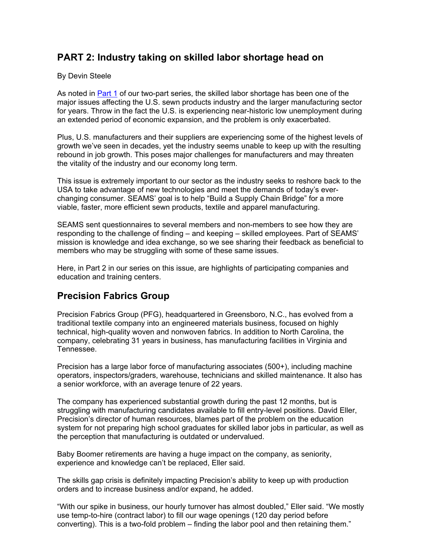# **PART 2: Industry taking on skilled labor shortage head on**

#### By Devin Steele

As noted in Part 1 of our two-part series, the skilled labor shortage has been one of the major issues affecting the U.S. sewn products industry and the larger manufacturing sector for years. Throw in the fact the U.S. is experiencing near-historic low unemployment during an extended period of economic expansion, and the problem is only exacerbated.

Plus, U.S. manufacturers and their suppliers are experiencing some of the highest levels of growth we've seen in decades, yet the industry seems unable to keep up with the resulting rebound in job growth. This poses major challenges for manufacturers and may threaten the vitality of the industry and our economy long term.

This issue is extremely important to our sector as the industry seeks to reshore back to the USA to take advantage of new technologies and meet the demands of today's everchanging consumer. SEAMS' goal is to help "Build a Supply Chain Bridge" for a more viable, faster, more efficient sewn products, textile and apparel manufacturing.

SEAMS sent questionnaires to several members and non-members to see how they are responding to the challenge of finding – and keeping – skilled employees. Part of SEAMS' mission is knowledge and idea exchange, so we see sharing their feedback as beneficial to members who may be struggling with some of these same issues.

Here, in Part 2 in our series on this issue, are highlights of participating companies and education and training centers.

## **Precision Fabrics Group**

Precision Fabrics Group (PFG), headquartered in Greensboro, N.C., has evolved from a traditional textile company into an engineered materials business, focused on highly technical, high-quality woven and nonwoven fabrics. In addition to North Carolina, the company, celebrating 31 years in business, has manufacturing facilities in Virginia and Tennessee.

Precision has a large labor force of manufacturing associates (500+), including machine operators, inspectors/graders, warehouse, technicians and skilled maintenance. It also has a senior workforce, with an average tenure of 22 years.

The company has experienced substantial growth during the past 12 months, but is struggling with manufacturing candidates available to fill entry-level positions. David Eller, Precision's director of human resources, blames part of the problem on the education system for not preparing high school graduates for skilled labor jobs in particular, as well as the perception that manufacturing is outdated or undervalued.

Baby Boomer retirements are having a huge impact on the company, as seniority, experience and knowledge can't be replaced, Eller said.

The skills gap crisis is definitely impacting Precision's ability to keep up with production orders and to increase business and/or expand, he added.

"With our spike in business, our hourly turnover has almost doubled," Eller said. "We mostly use temp-to-hire (contract labor) to fill our wage openings (120 day period before converting). This is a two-fold problem – finding the labor pool and then retaining them."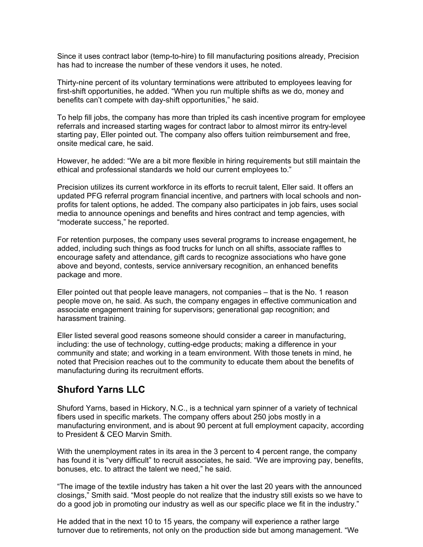Since it uses contract labor (temp-to-hire) to fill manufacturing positions already, Precision has had to increase the number of these vendors it uses, he noted.

Thirty-nine percent of its voluntary terminations were attributed to employees leaving for first-shift opportunities, he added. "When you run multiple shifts as we do, money and benefits can't compete with day-shift opportunities," he said.

To help fill jobs, the company has more than tripled its cash incentive program for employee referrals and increased starting wages for contract labor to almost mirror its entry-level starting pay, Eller pointed out. The company also offers tuition reimbursement and free, onsite medical care, he said.

However, he added: "We are a bit more flexible in hiring requirements but still maintain the ethical and professional standards we hold our current employees to."

Precision utilizes its current workforce in its efforts to recruit talent, Eller said. It offers an updated PFG referral program financial incentive, and partners with local schools and nonprofits for talent options, he added. The company also participates in job fairs, uses social media to announce openings and benefits and hires contract and temp agencies, with "moderate success," he reported.

For retention purposes, the company uses several programs to increase engagement, he added, including such things as food trucks for lunch on all shifts, associate raffles to encourage safety and attendance, gift cards to recognize associations who have gone above and beyond, contests, service anniversary recognition, an enhanced benefits package and more.

Eller pointed out that people leave managers, not companies – that is the No. 1 reason people move on, he said. As such, the company engages in effective communication and associate engagement training for supervisors; generational gap recognition; and harassment training.

Eller listed several good reasons someone should consider a career in manufacturing, including: the use of technology, cutting-edge products; making a difference in your community and state; and working in a team environment. With those tenets in mind, he noted that Precision reaches out to the community to educate them about the benefits of manufacturing during its recruitment efforts.

### **Shuford Yarns LLC**

Shuford Yarns, based in Hickory, N.C., is a technical yarn spinner of a variety of technical fibers used in specific markets. The company offers about 250 jobs mostly in a manufacturing environment, and is about 90 percent at full employment capacity, according to President & CEO Marvin Smith.

With the unemployment rates in its area in the 3 percent to 4 percent range, the company has found it is "very difficult" to recruit associates, he said. "We are improving pay, benefits, bonuses, etc. to attract the talent we need," he said.

"The image of the textile industry has taken a hit over the last 20 years with the announced closings," Smith said. "Most people do not realize that the industry still exists so we have to do a good job in promoting our industry as well as our specific place we fit in the industry."

He added that in the next 10 to 15 years, the company will experience a rather large turnover due to retirements, not only on the production side but among management. "We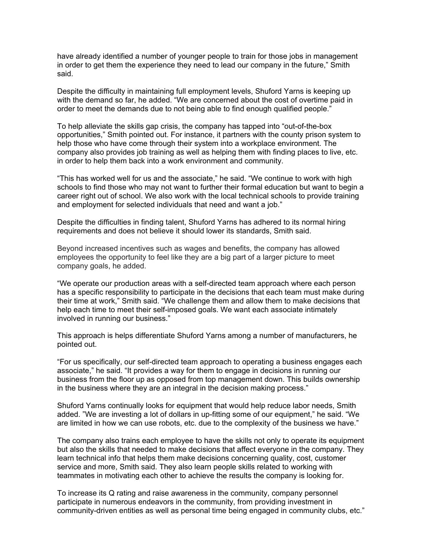have already identified a number of younger people to train for those jobs in management in order to get them the experience they need to lead our company in the future," Smith said.

Despite the difficulty in maintaining full employment levels, Shuford Yarns is keeping up with the demand so far, he added. "We are concerned about the cost of overtime paid in order to meet the demands due to not being able to find enough qualified people."

To help alleviate the skills gap crisis, the company has tapped into "out-of-the-box opportunities," Smith pointed out. For instance, it partners with the county prison system to help those who have come through their system into a workplace environment. The company also provides job training as well as helping them with finding places to live, etc. in order to help them back into a work environment and community.

"This has worked well for us and the associate," he said. "We continue to work with high schools to find those who may not want to further their formal education but want to begin a career right out of school. We also work with the local technical schools to provide training and employment for selected individuals that need and want a job."

Despite the difficulties in finding talent, Shuford Yarns has adhered to its normal hiring requirements and does not believe it should lower its standards, Smith said.

Beyond increased incentives such as wages and benefits, the company has allowed employees the opportunity to feel like they are a big part of a larger picture to meet company goals, he added.

"We operate our production areas with a self-directed team approach where each person has a specific responsibility to participate in the decisions that each team must make during their time at work," Smith said. "We challenge them and allow them to make decisions that help each time to meet their self-imposed goals. We want each associate intimately involved in running our business."

This approach is helps differentiate Shuford Yarns among a number of manufacturers, he pointed out.

"For us specifically, our self-directed team approach to operating a business engages each associate," he said. "It provides a way for them to engage in decisions in running our business from the floor up as opposed from top management down. This builds ownership in the business where they are an integral in the decision making process."

Shuford Yarns continually looks for equipment that would help reduce labor needs, Smith added. "We are investing a lot of dollars in up-fitting some of our equipment," he said. "We are limited in how we can use robots, etc. due to the complexity of the business we have."

The company also trains each employee to have the skills not only to operate its equipment but also the skills that needed to make decisions that affect everyone in the company. They learn technical info that helps them make decisions concerning quality, cost, customer service and more, Smith said. They also learn people skills related to working with teammates in motivating each other to achieve the results the company is looking for.

To increase its Q rating and raise awareness in the community, company personnel participate in numerous endeavors in the community, from providing investment in community-driven entities as well as personal time being engaged in community clubs, etc."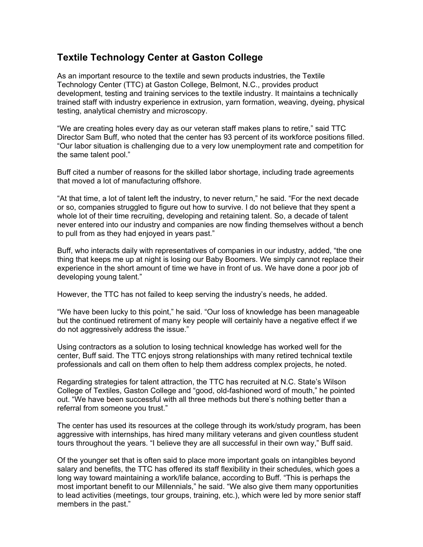# **Textile Technology Center at Gaston College**

As an important resource to the textile and sewn products industries, the Textile Technology Center (TTC) at Gaston College, Belmont, N.C., provides product development, testing and training services to the textile industry. It maintains a technically trained staff with industry experience in extrusion, yarn formation, weaving, dyeing, physical testing, analytical chemistry and microscopy.

"We are creating holes every day as our veteran staff makes plans to retire," said TTC Director Sam Buff, who noted that the center has 93 percent of its workforce positions filled. "Our labor situation is challenging due to a very low unemployment rate and competition for the same talent pool."

Buff cited a number of reasons for the skilled labor shortage, including trade agreements that moved a lot of manufacturing offshore.

"At that time, a lot of talent left the industry, to never return," he said. "For the next decade or so, companies struggled to figure out how to survive. I do not believe that they spent a whole lot of their time recruiting, developing and retaining talent. So, a decade of talent never entered into our industry and companies are now finding themselves without a bench to pull from as they had enjoyed in years past."

Buff, who interacts daily with representatives of companies in our industry, added, "the one thing that keeps me up at night is losing our Baby Boomers. We simply cannot replace their experience in the short amount of time we have in front of us. We have done a poor job of developing young talent."

However, the TTC has not failed to keep serving the industry's needs, he added.

"We have been lucky to this point," he said. "Our loss of knowledge has been manageable but the continued retirement of many key people will certainly have a negative effect if we do not aggressively address the issue."

Using contractors as a solution to losing technical knowledge has worked well for the center, Buff said. The TTC enjoys strong relationships with many retired technical textile professionals and call on them often to help them address complex projects, he noted.

Regarding strategies for talent attraction, the TTC has recruited at N.C. State's Wilson College of Textiles, Gaston College and "good, old-fashioned word of mouth," he pointed out. "We have been successful with all three methods but there's nothing better than a referral from someone you trust."

The center has used its resources at the college through its work/study program, has been aggressive with internships, has hired many military veterans and given countless student tours throughout the years. "I believe they are all successful in their own way," Buff said.

Of the younger set that is often said to place more important goals on intangibles beyond salary and benefits, the TTC has offered its staff flexibility in their schedules, which goes a long way toward maintaining a work/life balance, according to Buff. "This is perhaps the most important benefit to our Millennials," he said. "We also give them many opportunities to lead activities (meetings, tour groups, training, etc.), which were led by more senior staff members in the past."